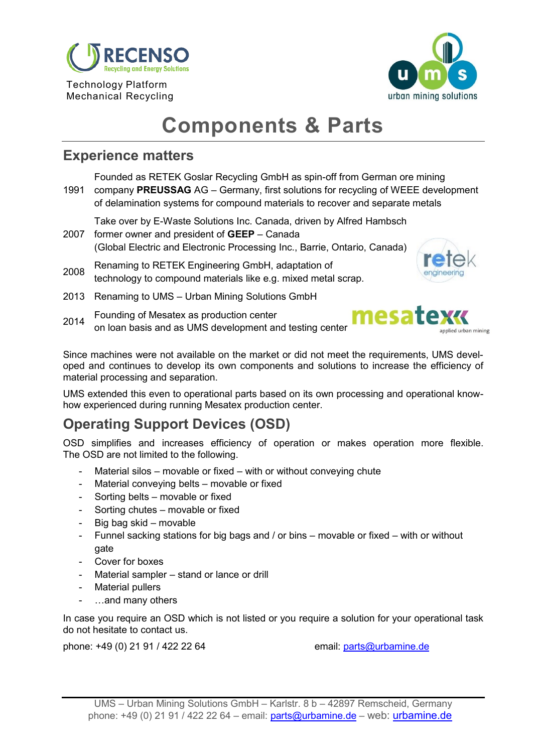

Technology Platform Mechanical Recycling



# **Components & Parts**

### **Experience matters**

1991 company **PREUSSAG** AG – Germany, first solutions for recycling of WEEE development Founded as RETEK Goslar Recycling GmbH as spin-off from German ore mining of delamination systems for compound materials to recover and separate metals

2007 former owner and president of **GEEP** – Canada Take over by E-Waste Solutions Inc. Canada, driven by Alfred Hambsch

(Global Electric and Electronic Processing Inc., Barrie, Ontario, Canada)

<sup>2008</sup> Renaming to RETEK Engineering GmbH, adaptation of technology to compound materials like e.g. mixed metal scrap.

- 2013 Renaming to UMS Urban Mining Solutions GmbH
- <sup>2014</sup> Founding of Mesatex as production center on loan basis and as UMS development and testing center



Since machines were not available on the market or did not meet the requirements, UMS developed and continues to develop its own components and solutions to increase the efficiency of material processing and separation.

UMS extended this even to operational parts based on its own processing and operational knowhow experienced during running Mesatex production center.

# **Operating Support Devices (OSD)**

OSD simplifies and increases efficiency of operation or makes operation more flexible. The OSD are not limited to the following.

- Material silos movable or fixed with or without conveying chute
- Material conveying belts movable or fixed
- Sorting belts movable or fixed
- Sorting chutes movable or fixed
- Big bag skid movable
- Funnel sacking stations for big bags and / or bins movable or fixed with or without gate
- Cover for boxes
- Material sampler stand or lance or drill
- Material pullers
- ...and many others

In case you require an OSD which is not listed or you require a solution for your operational task do not hesitate to contact us.

phone: +49 (0) 21 91 / 422 22 64 email: [parts@urbamine.d](mailto:parts@urbamine.com)e